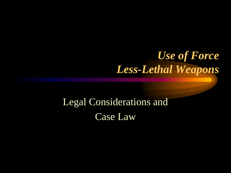#### *Use of Force Less-Lethal Weapons*

#### Legal Considerations and Case Law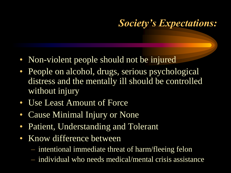#### *Society's Expectations:*

- Non-violent people should not be injured
- People on alcohol, drugs, serious psychological distress and the mentally ill should be controlled without injury
- Use Least Amount of Force
- Cause Minimal Injury or None
- Patient, Understanding and Tolerant
- Know difference between
	- intentional immediate threat of harm/fleeing felon
	- individual who needs medical/mental crisis assistance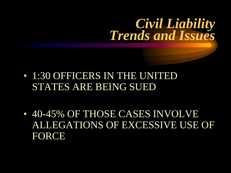#### *Civil Liability Trends and Issues*

- 1:30 OFFICERS IN THE UNITED STATES ARE BEING SUED
- 40-45% OF THOSE CASES INVOLVE ALLEGATIONS OF EXCESSIVE USE OF FORCE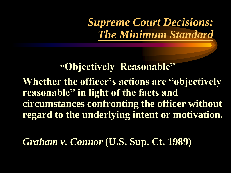*Supreme Court Decisions: The Minimum Standard*

**"Objectively Reasonable" Whether the officer's actions are "objectively reasonable" in light of the facts and circumstances confronting the officer without regard to the underlying intent or motivation.**

*Graham v. Connor* **(U.S. Sup. Ct. 1989)**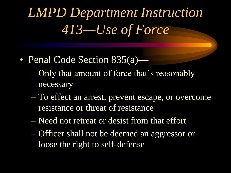*LMPD Department Instruction 413—Use of Force*

- Penal Code Section 835(a)—
	- Only that amount of force that's reasonably necessary
	- To effect an arrest, prevent escape, or overcome resistance or threat of resistance
	- Need not retreat or desist from that effort
	- Officer shall not be deemed an aggressor or loose the right to self-defense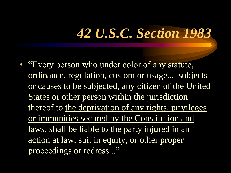## *42 U.S.C. Section 1983*

• "Every person who under color of any statute, ordinance, regulation, custom or usage... subjects or causes to be subjected, any citizen of the United States or other person within the jurisdiction thereof to the deprivation of any rights, privileges or immunities secured by the Constitution and laws, shall be liable to the party injured in an action at law, suit in equity, or other proper proceedings or redress..."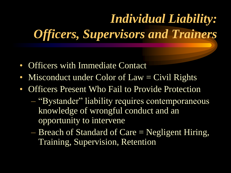# *Individual Liability: Officers, Supervisors and Trainers*

- Officers with Immediate Contact
- **Misconduct under Color of Law = Civil Rights**
- Officers Present Who Fail to Provide Protection
	- "Bystander" liability requires contemporaneous knowledge of wrongful conduct and an opportunity to intervene
	- Breach of Standard of Care = Negligent Hiring, Training, Supervision, Retention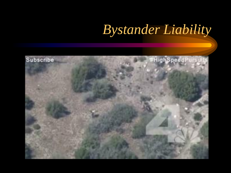# *Bystander Liability*

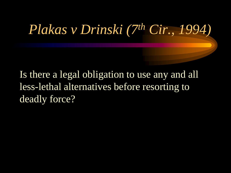# *Plakas v Drinski (7th Cir., 1994)*

Is there a legal obligation to use any and all less-lethal alternatives before resorting to deadly force?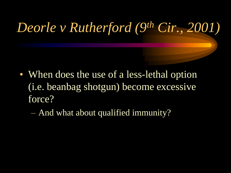# *Deorle v Rutherford (9th Cir., 2001)*

- When does the use of a less-lethal option (i.e. beanbag shotgun) become excessive force?
	- And what about qualified immunity?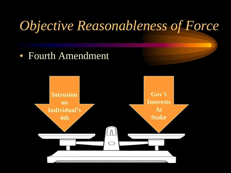## *Objective Reasonableness of Force*

• Fourth Amendment

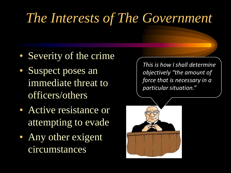# *The Interests of The Government*

- Severity of the crime
- Suspect poses an immediate threat to officers/others
- Active resistance or attempting to evade
- Any other exigent circumstances

*This is how I shall determine objectively "the amount of force that is necessary in a particular situation."*

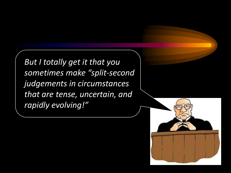*But I totally get it that you sometimes make "split-second judgements in circumstances that are tense, uncertain, and rapidly evolving!"*

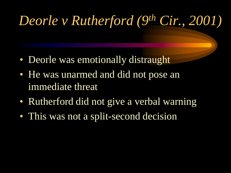# *Deorle v Rutherford (9th Cir., 2001)*

- Deorle was emotionally distraught
- He was unarmed and did not pose an immediate threat
- Rutherford did not give a verbal warning
- This was not a split-second decision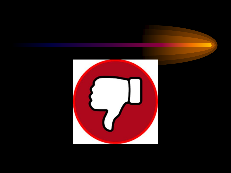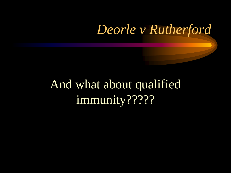# *Deorle v Rutherford*

#### And what about qualified immunity?????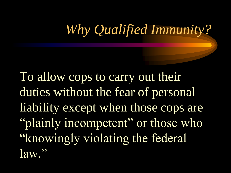# *Why Qualified Immunity?*

To allow cops to carry out their duties without the fear of personal liability except when those cops are "plainly incompetent" or those who "knowingly violating the federal law."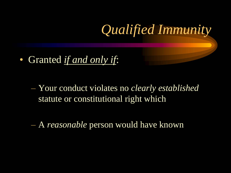

• Granted *if and only if*:

- Your conduct violates no *clearly established*  statute or constitutional right which
- A *reasonable* person would have known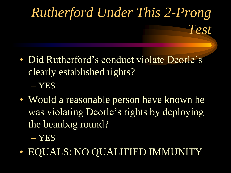# *Rutherford Under This 2-Prong Test*

- Did Rutherford's conduct violate Deorle's clearly established rights?
	- YES
- Would a reasonable person have known he was violating Deorle's rights by deploying the beanbag round?
	- YES
- EQUALS: NO QUALIFIED IMMUNITY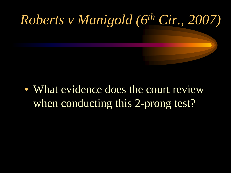

• What evidence does the court review when conducting this 2-prong test?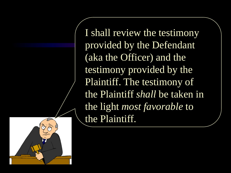I shall review the testimony provided by the Defendant (aka the Officer) and the testimony provided by the Plaintiff. The testimony of the Plaintiff *shall* be taken in the light *most favorable* to the Plaintiff.

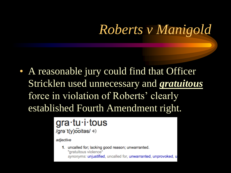# *Roberts v Manigold*

• A reasonable jury could find that Officer Stricklen used unnecessary and *gratuitous*  force in violation of Roberts' clearly established Fourth Amendment right.

#### $gra \cdot tu \cdot i \cdot tous$ /gra't(y)ooites/ (i)

adjective

1. uncalled for; lacking good reason; unwarranted. "gratuitous violence" synonyms: unjustified, uncalled for, unwarranted, unprovoked, u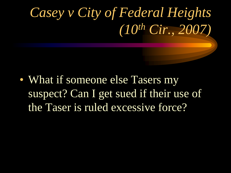# *Casey v City of Federal Heights (10th Cir., 2007)*

• What if someone else Tasers my suspect? Can I get sued if their use of the Taser is ruled excessive force?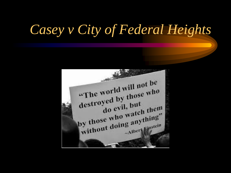# *Casey v City of Federal Heights*

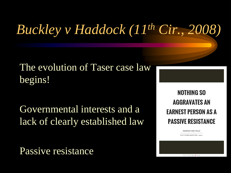# *Buckley v Haddock (11th Cir., 2008)*

#### The evolution of Taser case law begins!

Governmental interests and a lack of clearly established law

Passive resistance

**NOTHING SO AGGRAVATES AN FARNEST PERSON AS A PASSIVE RESISTANCE** 

**HERMAN MELVILLE** 

PICTURE QUOTES.com

**PICTUREQUOTES**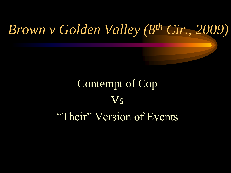# *Brown v Golden Valley (8th Cir., 2009)*

## Contempt of Cop Vs "Their" Version of Events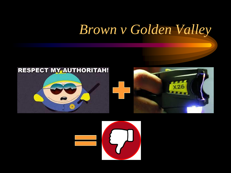### *Brown v Golden Valley*



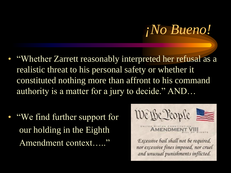# *¡No Bueno!*

- "Whether Zarrett reasonably interpreted her refusal as a realistic threat to his personal safety or whether it constituted nothing more than affront to his command authority is a matter for a jury to decide." AND…
- "We find further support for our holding in the Eighth Amendment context….."



**AMENDMENT VIII** 

Excessive bail shall not be required, nor excessive fines imposed, nor cruel and unusual punishments inflicted.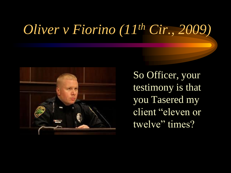# *Oliver v Fiorino (11th Cir., 2009)*



So Officer, your testimony is that you Tasered my client "eleven or twelve" times?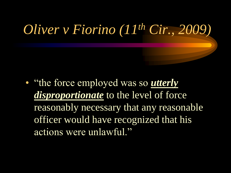# *Oliver v Fiorino (11th Cir., 2009)*

• "the force employed was so *utterly disproportionate* to the level of force reasonably necessary that any reasonable officer would have recognized that his actions were unlawful."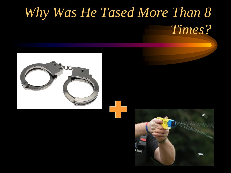# *Why Was He Tased More Than 8 Times?*



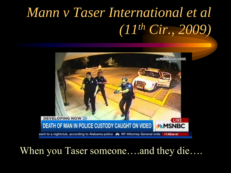# *Mann v Taser International et al (11th Cir., 2009)*



When you Taser someone….and they die….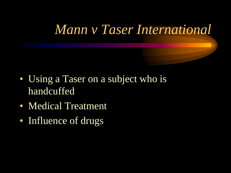#### *Mann v Taser International*

- Using a Taser on a subject who is handcuffed
- Medical Treatment
- Influence of drugs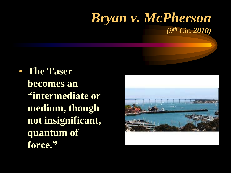#### *Bryan v. McPherson (9th Cir. 2010)*

• **The Taser becomes an "intermediate or medium, though not insignificant, quantum of force."**

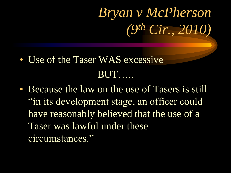# *Bryan v McPherson (9th Cir., 2010)*

- Use of the Taser WAS excessive BUT…..
- Because the law on the use of Tasers is still "in its development stage, an officer could have reasonably believed that the use of a Taser was lawful under these circumstances."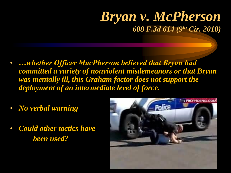#### *Bryan v. McPherson 608 F.3d 614 (9th Cir. 2010)*

- *…whether Officer MacPherson believed that Bryan had committed a variety of nonviolent misdemeanors or that Bryan*  was mentally *ill, this Graham factor does not support the deployment of an intermediate level of force.*
- *No verbal warning*
- *Could other tactics have been used?*

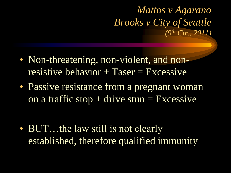#### *Mattos v Agarano Brooks v City of Seattle (9th Cir., 2011)*

- Non-threatening, non-violent, and nonresistive behavior + Taser = Excessive
- Passive resistance from a pregnant woman on a traffic stop  $+$  drive stun  $=$  Excessive

• BUT...the law still is not clearly established, therefore qualified immunity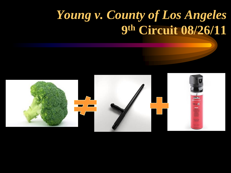## *Young v. County of Los Angeles* **9 th Circuit 08/26/11**

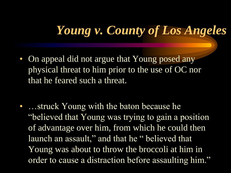#### *Young v. County of Los Angeles*

- On appeal did not argue that Young posed any physical threat to him prior to the use of OC nor that he feared such a threat.
- …struck Young with the baton because he "believed that Young was trying to gain a position of advantage over him, from which he could then launch an assault," and that he " believed that Young was about to throw the broccoli at him in order to cause a distraction before assaulting him."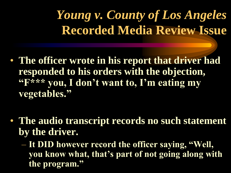## *Young v. County of Los Angeles*  **Recorded Media Review Issue**

- **The officer wrote in his report that driver had responded to his orders with the objection, "F\*\*\* you, I don't want to, I'm eating my vegetables."**
- **The audio transcript records no such statement by the driver.**
	- **It DID however record the officer saying, "Well, you know what, that's part of not going along with the program."**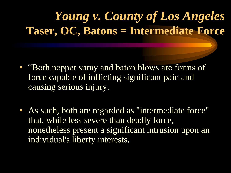## *Young v. County of Los Angeles* **Taser, OC, Batons = Intermediate Force**

- "Both pepper spray and baton blows are forms of force capable of inflicting significant pain and causing serious injury.
- As such, both are regarded as "intermediate force" that, while less severe than deadly force, nonetheless present a significant intrusion upon an individual's liberty interests.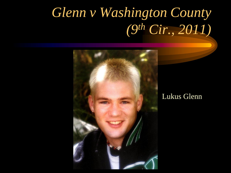# *Glenn v Washington County (9th Cir., 2011)*



Lukus Glenn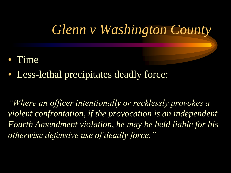# *Glenn v Washington County*

- Time
- Less-lethal precipitates deadly force:

*"Where an officer intentionally or recklessly provokes a violent confrontation, if the provocation is an independent Fourth Amendment violation, he may be held liable for his otherwise defensive use of deadly force."*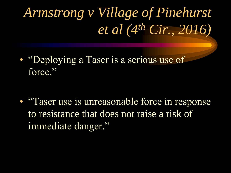# *Armstrong v Village of Pinehurst et al (4th Cir., 2016)*

• "Deploying a Taser is a serious use of force."

• "Taser use is unreasonable force in response to resistance that does not raise a risk of immediate danger."